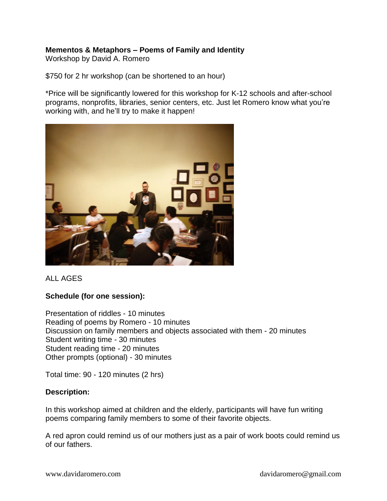# **Mementos & Metaphors – Poems of Family and Identity**

Workshop by David A. Romero

\$750 for 2 hr workshop (can be shortened to an hour)

\*Price will be significantly lowered for this workshop for K-12 schools and after-school programs, nonprofits, libraries, senior centers, etc. Just let Romero know what you're working with, and he'll try to make it happen!



ALL AGES

## **Schedule (for one session):**

Presentation of riddles - 10 minutes Reading of poems by Romero - 10 minutes Discussion on family members and objects associated with them - 20 minutes Student writing time - 30 minutes Student reading time - 20 minutes Other prompts (optional) - 30 minutes

Total time: 90 - 120 minutes (2 hrs)

## **Description:**

In this workshop aimed at children and the elderly, participants will have fun writing poems comparing family members to some of their favorite objects.

A red apron could remind us of our mothers just as a pair of work boots could remind us of our fathers.